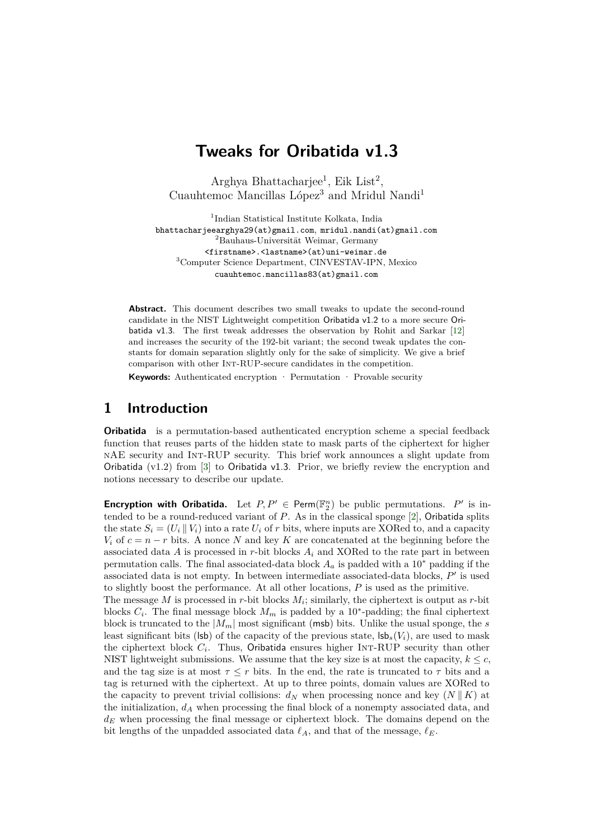# **Tweaks for Oribatida v1.3**

Arghya Bhattacharjee<sup>1</sup>, Eik List<sup>2</sup>, Cuauhtemoc Mancillas López<sup>3</sup> and Mridul Nandi<sup>1</sup>

<sup>1</sup>Indian Statistical Institute Kolkata, India  $^2\text{Baulaus-Universität Weimar, Germany}$ [<firstname>.<lastname>\(at\)uni-weimar.de](https://firstname>.<lastname>(at)uni-weimar.de) <sup>3</sup>Computer Science Department, CINVESTAV-IPN, Mexico [cuauhtemoc.mancillas83\(at\)gmail.com](https://cuauhtemoc.mancillas83(at)gmail.com)

**Abstract.** This document describes two small tweaks to update the second-round candidate in the NIST Lightweight competition Oribatida v1.2 to a more secure Oribatida v1.3. The frst tweak addresses the observation by Rohit and Sarkar [\[12\]](#page-5-0) and increases the security of the 192-bit variant; the second tweak updates the constants for domain separation slightly only for the sake of simplicity. We give a brief comparison with other Int-RUP-secure candidates in the competition.

**Keywords:** Authenticated encryption · Permutation · Provable security

#### **1 Introduction**

**Oribatida** is a permutation-based authenticated encryption scheme a special feedback function that reuses parts of the hidden state to mask parts of the ciphertext for higher nAE security and Int-RUP security. This brief work announces a slight update from Oribatida  $(v1.2)$  from [\[3\]](#page-4-0) to Oribatida v1.3. Prior, we briefly review the encryption and notions necessary to describe our update.

**Encryption with Oribatida.** Let  $P, P' \in \text{Perm}(\mathbb{F}_2^n)$  be public permutations.  $P'$  is intended to be a round-reduced variant of *P*. As in the classical sponge [\[2\]](#page-4-1), Oribatida splits the state  $S_i = (U_i | V_i)$  into a rate  $U_i$  of r bits, where inputs are XORed to, and a capacity *V*<sup>*i*</sup> of  $c = n - r$  bits. A nonce *N* and key *K* are concatenated at the beginning before the associated data  $A$  is processed in  $r$ -bit blocks  $A_i$  and XORed to the rate part in between permutation calls. The final associated-data block  $A_a$  is padded with a 10<sup>∗</sup> padding if the associated data is not empty. In between intermediate associated-data blocks,  $P'$  is used to slightly boost the performance. At all other locations, *P* is used as the primitive.

The message *M* is processed in *r*-bit blocks *Mi*; similarly, the ciphertext is output as *r*-bit blocks  $C_i$ . The final message block  $M_m$  is padded by a 10<sup>\*</sup>-padding; the final ciphertext block is truncated to the  $|M_m|$  most significant (msb) bits. Unlike the usual sponge, the *s* least significant bits (lsb) of the capacity of the previous state,  $\vert s \vert s_s(V_i)$ , are used to mask the ciphertext block  $C_i$ . Thus, Oribatida ensures higher INT-RUP security than other NIST lightweight submissions. We assume that the key size is at most the capacity,  $k \leq c$ , and the tag size is at most  $\tau \leq r$  bits. In the end, the rate is truncated to  $\tau$  bits and a tag is returned with the ciphertext. At up to three points, domain values are XORed to the capacity to prevent trivial collisions:  $d_N$  when processing nonce and key  $(N \parallel K)$  at the initialization, *d<sup>A</sup>* when processing the fnal block of a nonempty associated data, and *d<sup>E</sup>* when processing the fnal message or ciphertext block. The domains depend on the bit lengths of the unpadded associated data  $\ell_A$ , and that of the message,  $\ell_E$ .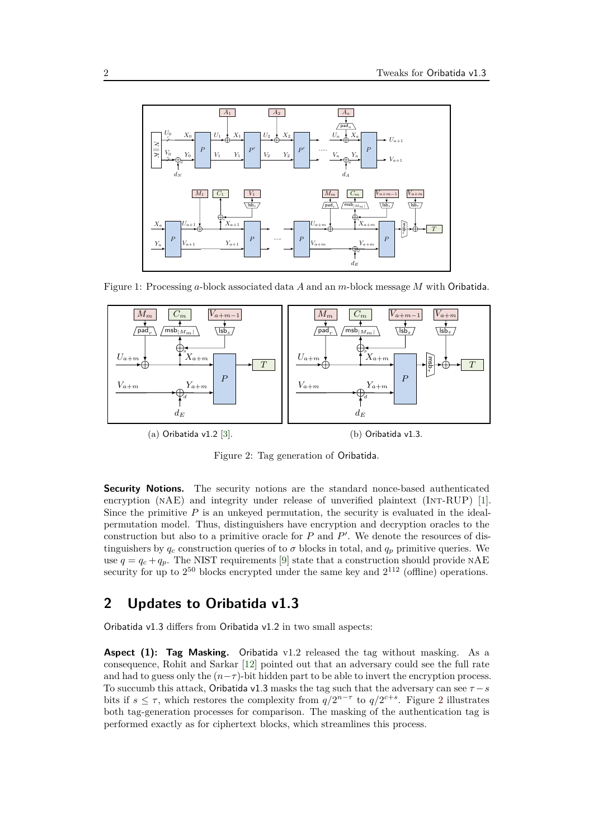

<span id="page-1-0"></span>Figure 1: Processing *a*-block associated data *A* and an *m*-block message *M* with Oribatida.



Figure 2: Tag generation of Oribatida.

**Security Notions.** The security notions are the standard nonce-based authenticated encryption (NAE) and integrity under release of unverified plaintext (INT-RUP) [1]. Since the primitive  $P$  is an unkeyed permutation, the security is evaluated in the idealpermutation model. Thus, distinguishers have encryption and decryption oracles to the ′ construction but also to a primitive oracle for *P* and *P* . We denote the resources of distinguishers by  $q_c$  construction queries of to  $\sigma$  blocks in total, and  $q_p$  primitive queries. We use  $q = q_c + q_p$ . The NIST requirements [\[9\]](#page-5-1) state that a construction should provide NAE security for up to  $2^{50}$  blocks encrypted under the same key and  $2^{112}$  (offline) operations.

#### **2 Updates to Oribatida v1.3**

Oribatida v1.3 differs from Oribatida v1.2 in two small aspects:

**Aspect (1): Tag Masking.** Oribatida v1.2 released the tag without masking. As a consequence, Rohit and Sarkar [\[12\]](#page-5-0) pointed out that an adversary could see the full rate and had to guess only the  $(n-\tau)$ -bit hidden part to be able to invert the encryption process. To succumb this attack, Oribatida v1.3 masks the tag such that the adversary can see  $\tau - s$ bits if  $s \leq \tau$ , which restores the complexity from  $q/2^{n-\tau}$  to  $q/2^{c+s}$ . Figure [2](#page-1-0) illustrates both tag-generation processes for comparison. The masking of the authentication tag is performed exactly as for ciphertext blocks, which streamlines this process.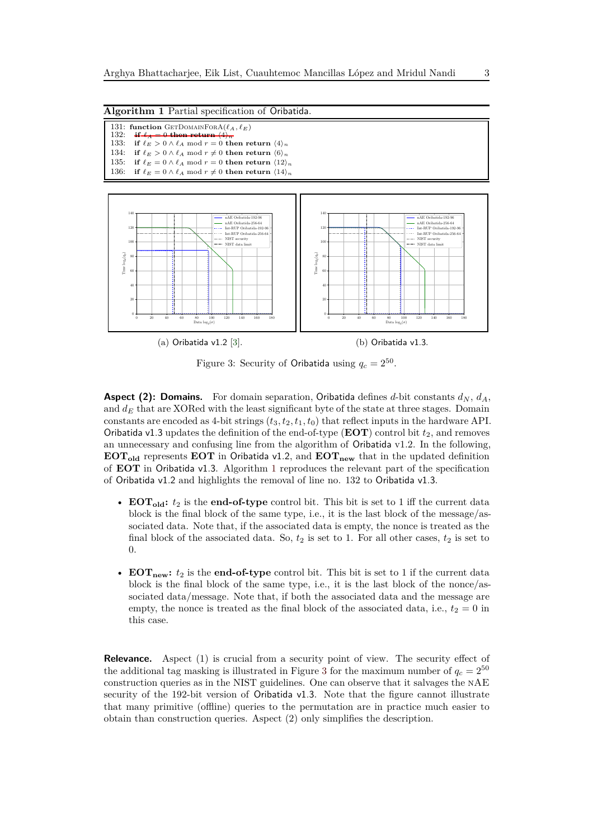```
Algorithm 1 Partial specifcation of Oribatida.
```

| 131: function GETDOMAINFORA $(\ell_A, \ell_E)$                                      |
|-------------------------------------------------------------------------------------|
| 132: if $\ell_A = 0$ then return $\langle 4 \rangle_n$                              |
| 133: if $\ell_E > 0 \wedge \ell_A \mod r = 0$ then return $\langle 4 \rangle_n$     |
| 134: if $\ell_E > 0 \wedge \ell_A \mod r \neq 0$ then return $\langle 6 \rangle_n$  |
| 135: if $\ell_E = 0 \wedge \ell_A \mod r = 0$ then return $\langle 12 \rangle_n$    |
| 136: if $\ell_E = 0 \wedge \ell_A \mod r \neq 0$ then return $\langle 14 \rangle_n$ |

<span id="page-2-1"></span>

Figure 3: Security of Oribatida using  $q_c = 2^{50}$ .

**Aspect (2): Domains.** For domain separation, Oribatida defines *d*-bit constants  $d_N$ ,  $d_A$ , and  $d_E$  that are XORed with the least significant byte of the state at three stages. Domain constants are encoded as 4-bit strings  $(t_3, t_2, t_1, t_0)$  that reflect inputs in the hardware API. Oribatida v1.3 updates the definition of the end-of-type ( $\mathbf{EOT}$ ) control bit  $t_2$ , and removes an unnecessary and confusing line from the algorithm of Oribatida v1.2. In the following, **EOTold** represents **EOT** in Oribatida v1.2, and **EOTnew** that in the updated defnition of **EOT** in Oribatida v1.3. Algorithm [1](#page-2-0) reproduces the relevant part of the specifcation of Oribatida v1.2 and highlights the removal of line no. 132 to Oribatida v1.3.

- **EOT**<sub>old</sub>:  $t_2$  is the **end-of-type** control bit. This bit is set to 1 iff the current data block is the fnal block of the same type, i.e., it is the last block of the message/associated data. Note that, if the associated data is empty, the nonce is treated as the final block of the associated data. So,  $t_2$  is set to 1. For all other cases,  $t_2$  is set to 0.
- **EOT**<sub>new</sub>:  $t_2$  is the **end-of-type** control bit. This bit is set to 1 if the current data block is the fnal block of the same type, i.e., it is the last block of the nonce/associated data/message. Note that, if both the associated data and the message are empty, the nonce is treated as the final block of the associated data, i.e.,  $t_2 = 0$  in this case.

**Relevance.** Aspect (1) is crucial from a security point of view. The security effect of the additional tag masking is illustrated in Figure [3](#page-2-1) for the maximum number of  $q_c = 2^{50}$ construction queries as in the NIST guidelines. One can observe that it salvages the nAE security of the 192-bit version of Oribatida v1.3. Note that the fgure cannot illustrate that many primitive (offline) queries to the permutation are in practice much easier to obtain than construction queries. Aspect (2) only simplifes the description.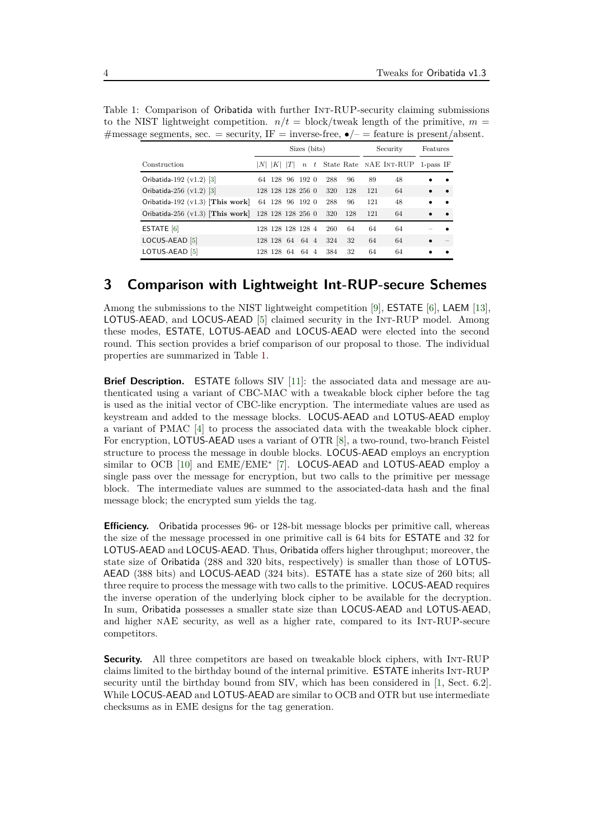<span id="page-3-0"></span>

| Table 1: Comparison of Oribatida with further INT-RUP-security claiming submissions             |
|-------------------------------------------------------------------------------------------------|
| to the NIST lightweight competition. $n/t = \text{block/tweak}$ length of the primitive, $m =$  |
| #message segments, sec. = security, IF = inverse-free, $\bullet/-$ = feature is present/absent. |

|                                    | Sizes (bits)      |                   |     |                  |  |     | Security |     | Features                 |              |           |
|------------------------------------|-------------------|-------------------|-----|------------------|--|-----|----------|-----|--------------------------|--------------|-----------|
| Construction                       |                   | K                 | ΙTΙ | $\boldsymbol{n}$ |  |     |          |     | t State Rate NAE INT-RUP | $1$ -pass IF |           |
| Oribatida-192 (v1.2) [3]           |                   | 64 128 96 192 0   |     |                  |  | 288 | 96       | 89  | 48                       |              |           |
| Oribatida-256 $(v1.2)$ [3]         |                   | 128 128 128 256 0 |     |                  |  | 320 | 128      | 121 | 64                       |              |           |
| Oribatida-192 $(v1.3)$ [This work] |                   | 64 128 96 192 0   |     |                  |  | 288 | 96       | 121 | 48                       |              |           |
| Oribatida-256 $(v1.3)$ [This work] | 128 128 128 256 0 |                   |     |                  |  | 320 | 128      | 121 | 64                       |              | $\bullet$ |
| ESTATE $[6]$                       |                   | 128 128 128 128 4 |     |                  |  | 260 | 64       | 64  | 64                       |              |           |
| LOCUS-AEAD [5]                     |                   | 128 128 64        |     | 64 4             |  | 324 | 32       | 64  | 64                       |              |           |
| LOTUS-AEAD [5]                     |                   | 128 128 64        |     | 64 4             |  | 384 | 32       | 64  | 64                       |              |           |

## **3 Comparison with Lightweight Int-RUP-secure Schemes**

Among the submissions to the NIST lightweight competition [\[9\]](#page-5-1), ESTATE [\[6\]](#page-5-2), LAEM [\[13\]](#page-5-4), LOTUS-AEAD, and LOCUS-AEAD [\[5\]](#page-5-3) claimed security in the Int-RUP model. Among these modes, ESTATE, LOTUS-AEAD and LOCUS-AEAD were elected into the second round. This section provides a brief comparison of our proposal to those. The individual properties are summarized in Table [1.](#page-3-0)

**Brief Description.** ESTATE follows SIV [11]: the associated data and message are authenticated using a variant of CBC-MAC with a tweakable block cipher before the tag is used as the initial vector of CBC-like encryption. The intermediate values are used as keystream and added to the message blocks. LOCUS-AEAD and LOTUS-AEAD employ a variant of PMAC [4] to process the associated data with the tweakable block cipher. For encryption, LOTUS-AEAD uses a variant of OTR [8], a two-round, two-branch Feistel structure to process the message in double blocks. LOCUS-AEAD employs an encryption similar to OCB [10] and EME/EME<sup>\*</sup> [7]. LOCUS-AEAD and LOTUS-AEAD employ a single pass over the message for encryption, but two calls to the primitive per message block. The intermediate values are summed to the associated-data hash and the fnal message block; the encrypted sum yields the tag.

**Efficiency.** Oribatida processes 96- or 128-bit message blocks per primitive call, whereas the size of the message processed in one primitive call is 64 bits for ESTATE and 32 for LOTUS-AEAD and LOCUS-AEAD. Thus, Oribatida offers higher throughput; moreover, the state size of Oribatida (288 and 320 bits, respectively) is smaller than those of LOTUS-AEAD (388 bits) and LOCUS-AEAD (324 bits). ESTATE has a state size of 260 bits; all three require to process the message with two calls to the primitive. LOCUS-AEAD requires the inverse operation of the underlying block cipher to be available for the decryption. In sum, Oribatida possesses a smaller state size than LOCUS-AEAD and LOTUS-AEAD, and higher nAE security, as well as a higher rate, compared to its Int-RUP-secure competitors.

**Security.** All three competitors are based on tweakable block ciphers, with INT-RUP claims limited to the birthday bound of the internal primitive. ESTATE inherits Int-RUP security until the birthday bound from SIV, which has been considered in [1, Sect. 6.2]. While LOCUS-AEAD and LOTUS-AEAD are similar to OCB and OTR but use intermediate checksums as in EME designs for the tag generation.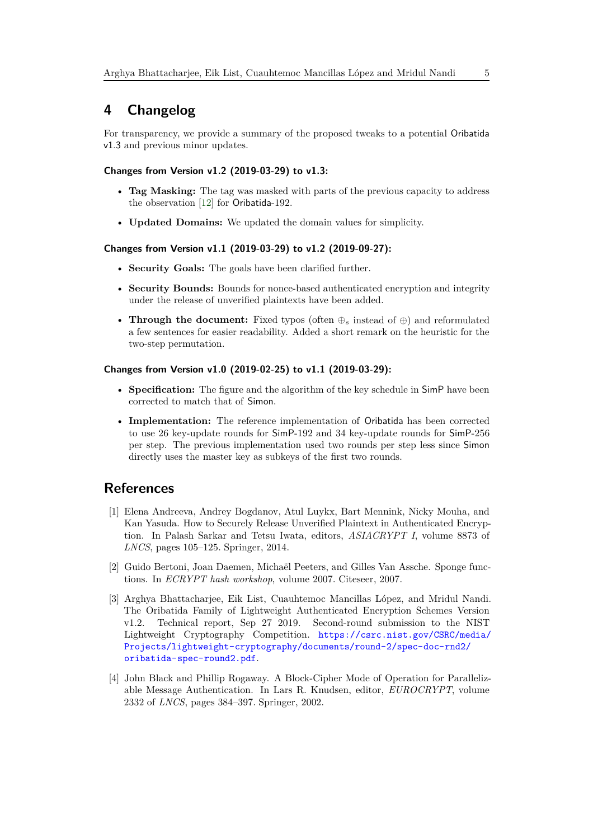# **4 Changelog**

For transparency, we provide a summary of the proposed tweaks to a potential Oribatida v1.3 and previous minor updates.

#### **Changes from Version v1.2 (2019-03-29) to v1.3:**

- **Tag Masking:** The tag was masked with parts of the previous capacity to address the observation [\[12\]](#page-5-0) for Oribatida-192.
- **Updated Domains:** We updated the domain values for simplicity.

#### **Changes from Version v1.1 (2019-03-29) to v1.2 (2019-09-27):**

- **Security Goals:** The goals have been clarifed further.
- **Security Bounds:** Bounds for nonce-based authenticated encryption and integrity under the release of unverifed plaintexts have been added.
- **Through the document:** Fixed typos (often ⊕*<sup>s</sup>* instead of ⊕) and reformulated a few sentences for easier readability. Added a short remark on the heuristic for the two-step permutation.

#### **Changes from Version v1.0 (2019-02-25) to v1.1 (2019-03-29):**

- **Specifcation:** The fgure and the algorithm of the key schedule in SimP have been corrected to match that of Simon.
- **Implementation:** The reference implementation of Oribatida has been corrected to use 26 key-update rounds for SimP-192 and 34 key-update rounds for SimP-256 per step. The previous implementation used two rounds per step less since Simon directly uses the master key as subkeys of the first two rounds.

# **References**

- [1] Elena Andreeva, Andrey Bogdanov, Atul Luykx, Bart Mennink, Nicky Mouha, and Kan Yasuda. How to Securely Release Unverifed Plaintext in Authenticated Encryption. In Palash Sarkar and Tetsu Iwata, editors, *ASIACRYPT I*, volume 8873 of *LNCS*, pages 105–125. Springer, 2014.
- <span id="page-4-1"></span>[2] Guido Bertoni, Joan Daemen, Michaël Peeters, and Gilles Van Assche. Sponge functions. In *ECRYPT hash workshop*, volume 2007. Citeseer, 2007.
- <span id="page-4-0"></span>[3] Arghya Bhattacharjee, Eik List, Cuauhtemoc Mancillas López, and Mridul Nandi. The Oribatida Family of Lightweight Authenticated Encryption Schemes Version v1.2. Technical report, Sep 27 2019. Second-round submission to the NIST Lightweight Cryptography Competition. [https://csrc.nist.gov/CSRC/media/](https://csrc.nist.gov/CSRC/media/Projects/lightweight-cryptography/documents/round-2/spec-doc-rnd2/oribatida-spec-round2.pdf) [Projects/lightweight-cryptography/documents/round-2/spec-doc-rnd2/](https://csrc.nist.gov/CSRC/media/Projects/lightweight-cryptography/documents/round-2/spec-doc-rnd2/oribatida-spec-round2.pdf) [oribatida-spec-round2.pdf](https://csrc.nist.gov/CSRC/media/Projects/lightweight-cryptography/documents/round-2/spec-doc-rnd2/oribatida-spec-round2.pdf).
- [4] John Black and Phillip Rogaway. A Block-Cipher Mode of Operation for Parallelizable Message Authentication. In Lars R. Knudsen, editor, *EUROCRYPT*, volume 2332 of *LNCS*, pages 384–397. Springer, 2002.